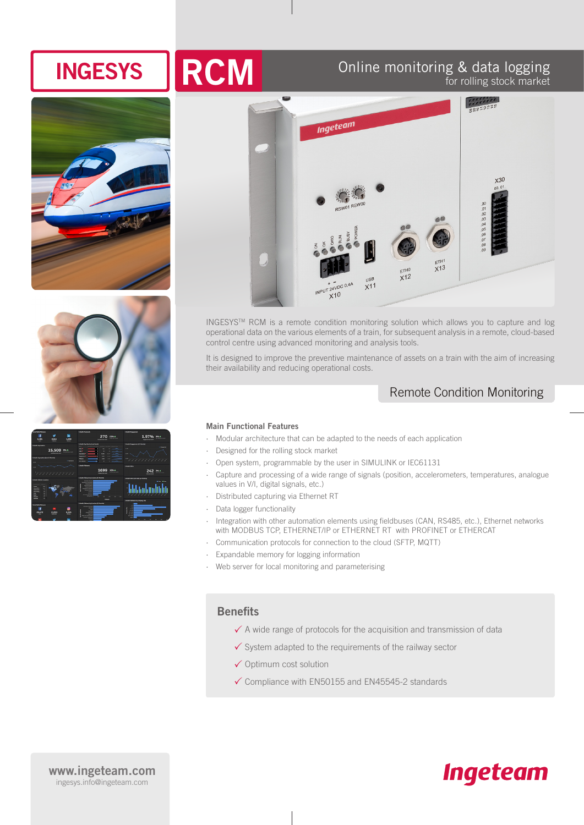# **INGESYS RCM** Online monitoring & data logging Online monitoring & data logging









INGESYSTM RCM is a remote condition monitoring solution which allows you to capture and log operational data on the various elements of a train, for subsequent analysis in a remote, cloud-based control centre using advanced monitoring and analysis tools.

It is designed to improve the preventive maintenance of assets on a train with the aim of increasing their availability and reducing operational costs.

### Remote Condition Monitoring

#### **Main Functional Features**

- ∙ Modular architecture that can be adapted to the needs of each application
- ∙ Designed for the rolling stock market
- ∙ Open system, programmable by the user in SIMULINK or IEC61131
- ∙ Capture and processing of a wide range of signals (position, accelerometers, temperatures, analogue values in V/I, digital signals, etc.)
- ∙ Distributed capturing via Ethernet RT
- ∙ Data logger functionality
- ∙ Integration with other automation elements using fieldbuses (CAN, RS485, etc.), Ethernet networks with MODBUS TCP, ETHERNET/IP or ETHERNET RT with PROFINET or ETHERCAT
- ∙ Communication protocols for connection to the cloud (SFTP, MQTT)
- ∙ Expandable memory for logging information
- ∙ Web server for local monitoring and parameterising

### **Benefits**

- $\checkmark$  A wide range of protocols for the acquisition and transmission of data
- $\checkmark$  System adapted to the requirements of the railway sector
- $\checkmark$  Optimum cost solution
- $\checkmark$  Compliance with EN50155 and EN45545-2 standards

#### **www.ingeteam.com** ingesys.info@ingeteam.com

## **Ingeteam**